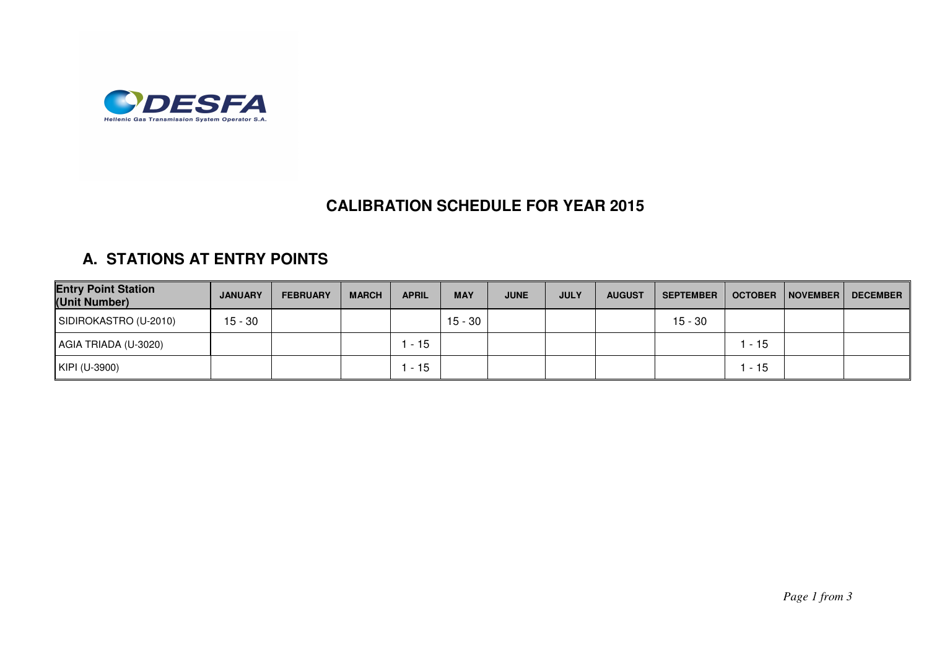

## **CALIBRATION SCHEDULE FOR YEAR 2015**

## **A. STATIONS AT ENTRY POINTS**

| <b>Entry Point Station</b><br>(Unit Number) | <b>JANUARY</b> | <b>FEBRUARY</b> | <b>MARCH</b> | <b>APRIL</b> | <b>MAY</b> | <b>JUNE</b> | <b>JULY</b> | <b>AUGUST</b> | <b>SEPTEMBER</b> | <b>OCTOBER</b> | NOVEMBER | DECEMBER |
|---------------------------------------------|----------------|-----------------|--------------|--------------|------------|-------------|-------------|---------------|------------------|----------------|----------|----------|
| SIDIROKASTRO (U-2010)                       | $15 - 30$      |                 |              |              | $15 - 30$  |             |             |               | 15 - 30          |                |          |          |
| AGIA TRIADA (U-3020)                        |                |                 |              | $-15$        |            |             |             |               |                  | - 15           |          |          |
| KIPI (U-3900)                               |                |                 |              | $-15$        |            |             |             |               |                  | - 15           |          |          |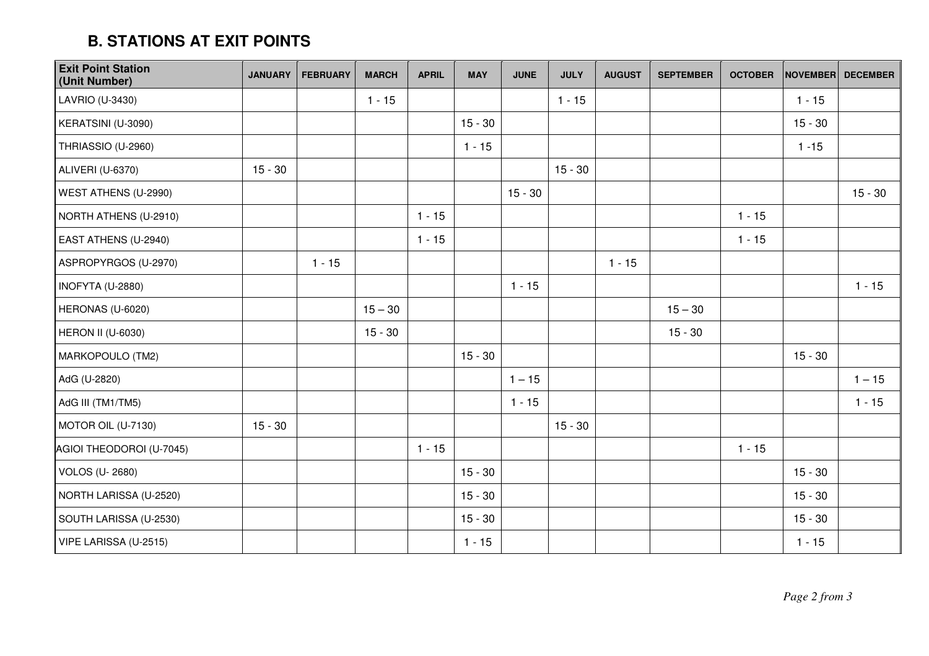## **B. STATIONS AT EXIT POINTS**

| <b>Exit Point Station</b><br>(Unit Number) | <b>JANUARY</b> | <b>FEBRUARY</b> | <b>MARCH</b> | <b>APRIL</b> | <b>MAY</b> | <b>JUNE</b> | <b>JULY</b> | <b>AUGUST</b> | <b>SEPTEMBER</b> | <b>OCTOBER</b> | <b>NOVEMBER</b> | <b>DECEMBER</b> |
|--------------------------------------------|----------------|-----------------|--------------|--------------|------------|-------------|-------------|---------------|------------------|----------------|-----------------|-----------------|
| LAVRIO (U-3430)                            |                |                 | $1 - 15$     |              |            |             | $1 - 15$    |               |                  |                | $1 - 15$        |                 |
| KERATSINI (U-3090)                         |                |                 |              |              | $15 - 30$  |             |             |               |                  |                | $15 - 30$       |                 |
| THRIASSIO (U-2960)                         |                |                 |              |              | $1 - 15$   |             |             |               |                  |                | $1 - 15$        |                 |
| ALIVERI (U-6370)                           | $15 - 30$      |                 |              |              |            |             | $15 - 30$   |               |                  |                |                 |                 |
| WEST ATHENS (U-2990)                       |                |                 |              |              |            | $15 - 30$   |             |               |                  |                |                 | $15 - 30$       |
| NORTH ATHENS (U-2910)                      |                |                 |              | $1 - 15$     |            |             |             |               |                  | $1 - 15$       |                 |                 |
| EAST ATHENS (U-2940)                       |                |                 |              | $1 - 15$     |            |             |             |               |                  | $1 - 15$       |                 |                 |
| ASPROPYRGOS (U-2970)                       |                | $1 - 15$        |              |              |            |             |             | $1 - 15$      |                  |                |                 |                 |
| INOFYTA (U-2880)                           |                |                 |              |              |            | $1 - 15$    |             |               |                  |                |                 | $1 - 15$        |
| HERONAS (U-6020)                           |                |                 | $15 - 30$    |              |            |             |             |               | $15 - 30$        |                |                 |                 |
| <b>HERON II (U-6030)</b>                   |                |                 | $15 - 30$    |              |            |             |             |               | $15 - 30$        |                |                 |                 |
| MARKOPOULO (TM2)                           |                |                 |              |              | $15 - 30$  |             |             |               |                  |                | $15 - 30$       |                 |
| AdG (U-2820)                               |                |                 |              |              |            | $1 - 15$    |             |               |                  |                |                 | $1 - 15$        |
| AdG III (TM1/TM5)                          |                |                 |              |              |            | $1 - 15$    |             |               |                  |                |                 | $1 - 15$        |
| MOTOR OIL (U-7130)                         | $15 - 30$      |                 |              |              |            |             | $15 - 30$   |               |                  |                |                 |                 |
| AGIOI THEODOROI (U-7045)                   |                |                 |              | $1 - 15$     |            |             |             |               |                  | $1 - 15$       |                 |                 |
| <b>VOLOS (U-2680)</b>                      |                |                 |              |              | $15 - 30$  |             |             |               |                  |                | $15 - 30$       |                 |
| NORTH LARISSA (U-2520)                     |                |                 |              |              | $15 - 30$  |             |             |               |                  |                | $15 - 30$       |                 |
| SOUTH LARISSA (U-2530)                     |                |                 |              |              | $15 - 30$  |             |             |               |                  |                | $15 - 30$       |                 |
| VIPE LARISSA (U-2515)                      |                |                 |              |              | $1 - 15$   |             |             |               |                  |                | $1 - 15$        |                 |